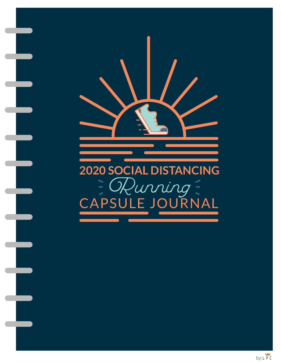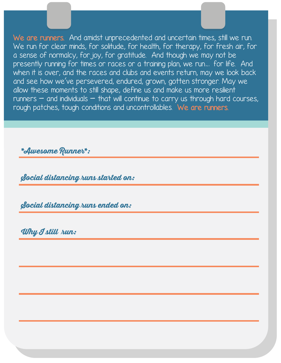.<br>When it is over, and the races and clubs and events return, may we look back<br>and see how we've persevered, endured, grown, gotten stronger. May we We are runners. And amidst unprecedented and uncertain times, still we run. We run for clear minds, for solitude, for health, for therapy, for fresh air, for a sense of normalcy, for joy, for gratitude. And though we may not be presently running for times or races or a training plan, we run... for life. And and see how we've persevered, endured, grown, gotten stronger. May we allow these moments to still shape, define us and make us more resilient  $r$ unners  $-$  and individuals  $-$  that will continue to carry us through hard courses, rough patches, tough conditions and uncontrollables. We are runners.

**TO DO LIST**

**\*Awesome Runner\*:** 

 $\mathcal{L}$ **Social distancing runs started on:** 

**Social distancing runs ended on:** 

**Why I still run:**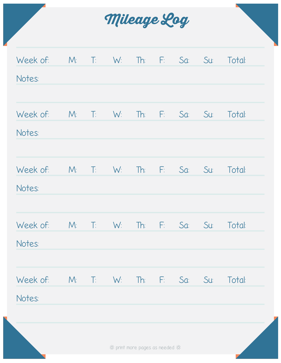

| Week of: | M <sub>i</sub>          | $\mathbb{T}$ : | W:    | Th:                            | F.    | Sa: | Su | Total: |
|----------|-------------------------|----------------|-------|--------------------------------|-------|-----|----|--------|
| Notes:   |                         |                |       |                                |       |     |    |        |
|          |                         |                |       |                                |       |     |    |        |
| Week of: | $M_{\odot}$             | $\mathbb{T}$ : | W:    | Th:                            | $E_1$ | Sa: | Su | Total: |
| Notes:   |                         |                |       |                                |       |     |    |        |
|          |                         |                |       |                                |       |     |    |        |
| Week of: | M <sub>i</sub>          | $\mathbb{T}$ : | W:    | $\mathbb{R}$                   | F:    | Sa: | Su | Total: |
| Notes:   |                         |                |       |                                |       |     |    |        |
|          |                         |                |       |                                |       |     |    |        |
| Week of: | M <sub>i</sub>          | 王              | $W_i$ | Th:                            | $E =$ | Sa: | Su | Total: |
| Notes:   |                         |                |       |                                |       |     |    |        |
| Week of: | M: T: W: Th: F: Sa: Su: |                |       |                                |       |     |    | Total: |
| Notes:   |                         |                |       |                                |       |     |    |        |
|          |                         |                |       |                                |       |     |    |        |
|          |                         |                |       | * print more pages as needed * |       |     |    |        |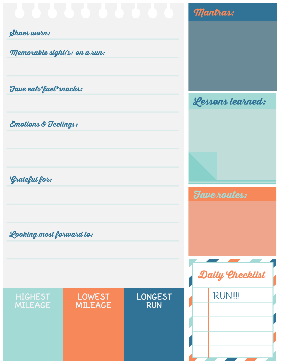|                              |                |                     | <b>Mantras:</b> |  |
|------------------------------|----------------|---------------------|-----------------|--|
| Shoes worn:                  |                |                     |                 |  |
| Memorable sight(s) on a run: |                |                     |                 |  |
| Fave eats*fuel*snacks:       |                |                     |                 |  |
|                              |                | Lessons learned:    |                 |  |
| Emotions & Feelings:         |                |                     |                 |  |
| Grateful for:                |                |                     |                 |  |
|                              |                | <b>Fave routes:</b> |                 |  |
|                              |                |                     |                 |  |
|                              |                |                     |                 |  |
| Looking most forward to:     |                |                     |                 |  |
|                              |                |                     |                 |  |
|                              |                |                     | Daily Checklist |  |
| <b>HIGHEST</b>               | <b>LOWEST</b>  | <b>LONGEST</b>      | <b>RUN!!!!</b>  |  |
| <b>MILEAGE</b>               | <b>MILEAGE</b> | <b>RUN</b>          |                 |  |
|                              |                |                     |                 |  |
|                              |                |                     |                 |  |
|                              |                |                     |                 |  |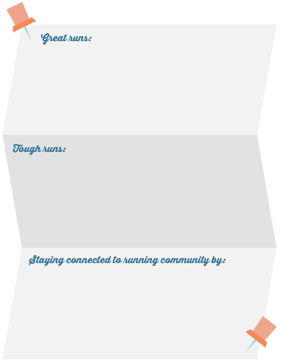

## **Tough runs:**

**Staying connected to running community by:** 

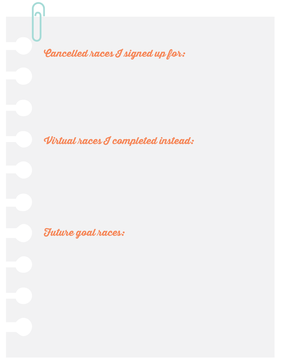**Cancelled races I signed up for:** 

**Virtual races I completed instead:** 

**Future goal races:**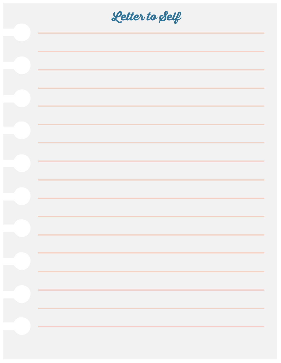| Letter to Self |
|----------------|
|                |
|                |
|                |
|                |
|                |
|                |
|                |
|                |
|                |
|                |
|                |
|                |
|                |